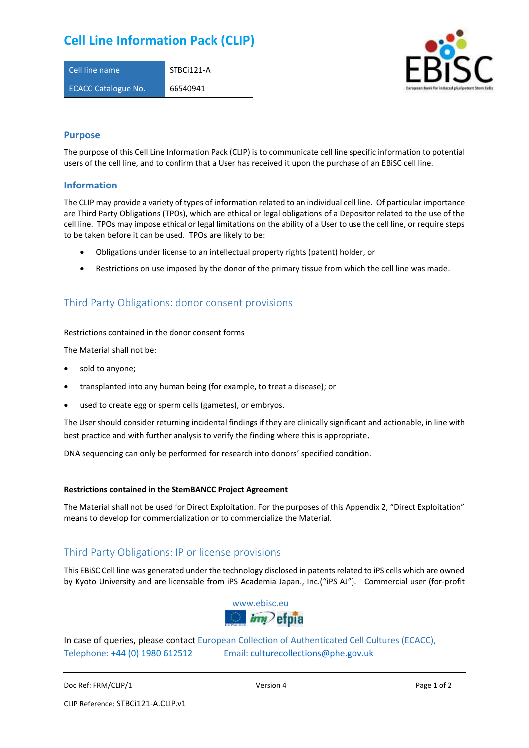# **Cell Line Information Pack (CLIP)**

| Cell line name             | STBCi121-A |
|----------------------------|------------|
| <b>ECACC Catalogue No.</b> | 66540941   |



### **Purpose**

The purpose of this Cell Line Information Pack (CLIP) is to communicate cell line specific information to potential users of the cell line, and to confirm that a User has received it upon the purchase of an EBiSC cell line.

### **Information**

The CLIP may provide a variety of types of information related to an individual cell line. Of particular importance are Third Party Obligations (TPOs), which are ethical or legal obligations of a Depositor related to the use of the cell line. TPOs may impose ethical or legal limitations on the ability of a User to use the cell line, or require steps to be taken before it can be used. TPOs are likely to be:

- Obligations under license to an intellectual property rights (patent) holder, or
- Restrictions on use imposed by the donor of the primary tissue from which the cell line was made.

## Third Party Obligations: donor consent provisions

#### Restrictions contained in the donor consent forms

The Material shall not be:

- sold to anyone;
- transplanted into any human being (for example, to treat a disease); or
- used to create egg or sperm cells (gametes), or embryos.

The User should consider returning incidental findings if they are clinically significant and actionable, in line with best practice and with further analysis to verify the finding where this is appropriate.

DNA sequencing can only be performed for research into donors' specified condition.

#### **Restrictions contained in the StemBANCC Project Agreement**

The Material shall not be used for Direct Exploitation. For the purposes of this Appendix 2, "Direct Exploitation" means to develop for commercialization or to commercialize the Material.

## Third Party Obligations: IP or license provisions

This EBiSC Cell line was generated under the technology disclosed in patents related to iPS cells which are owned by Kyoto University and are licensable from iPS Academia Japan., Inc.("iPS AJ"). Commercial user (for-profit



In case of queries, please contact European Collection of Authenticated Cell Cultures (ECACC), Telephone: +44 (0) 1980 612512 Email: [culturecollections@phe.gov.uk](mailto:culturecollections@phe.gov.uk)

Doc Ref: FRM/CLIP/1 **Docessition 2** Page 1 of 2